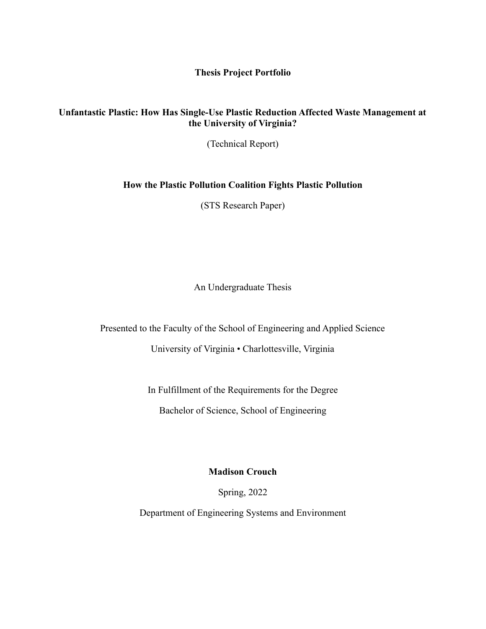**Thesis Project Portfolio**

## **Unfantastic Plastic: How Has Single-Use Plastic Reduction Affected Waste Management at the University of Virginia?**

(Technical Report)

## **How the Plastic Pollution Coalition Fights Plastic Pollution**

(STS Research Paper)

An Undergraduate Thesis

Presented to the Faculty of the School of Engineering and Applied Science

University of Virginia • Charlottesville, Virginia

In Fulfillment of the Requirements for the Degree Bachelor of Science, School of Engineering

**Madison Crouch**

Spring, 2022

Department of Engineering Systems and Environment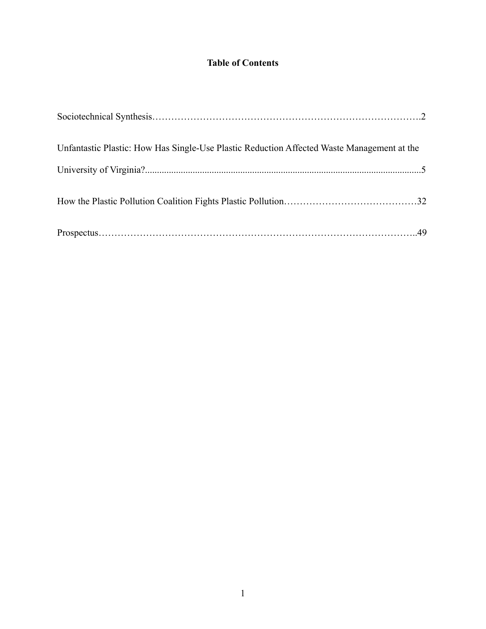## **Table of Contents**

| Unfantastic Plastic: How Has Single-Use Plastic Reduction Affected Waste Management at the |  |
|--------------------------------------------------------------------------------------------|--|
|                                                                                            |  |
|                                                                                            |  |
|                                                                                            |  |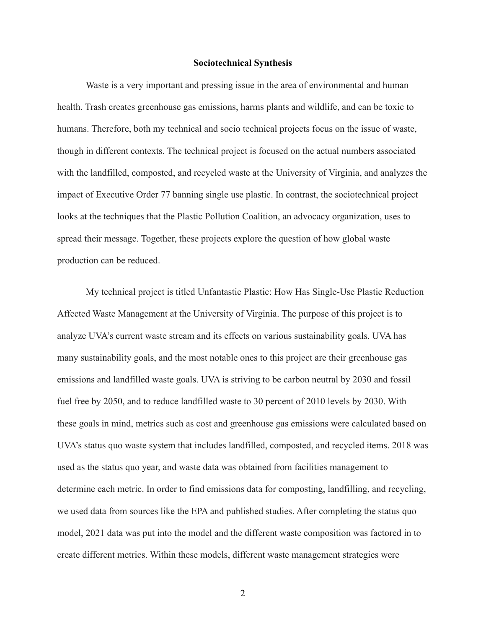## **Sociotechnical Synthesis**

Waste is a very important and pressing issue in the area of environmental and human health. Trash creates greenhouse gas emissions, harms plants and wildlife, and can be toxic to humans. Therefore, both my technical and socio technical projects focus on the issue of waste, though in different contexts. The technical project is focused on the actual numbers associated with the landfilled, composted, and recycled waste at the University of Virginia, and analyzes the impact of Executive Order 77 banning single use plastic. In contrast, the sociotechnical project looks at the techniques that the Plastic Pollution Coalition, an advocacy organization, uses to spread their message. Together, these projects explore the question of how global waste production can be reduced.

My technical project is titled Unfantastic Plastic: How Has Single-Use Plastic Reduction Affected Waste Management at the University of Virginia. The purpose of this project is to analyze UVA's current waste stream and its effects on various sustainability goals. UVA has many sustainability goals, and the most notable ones to this project are their greenhouse gas emissions and landfilled waste goals. UVA is striving to be carbon neutral by 2030 and fossil fuel free by 2050, and to reduce landfilled waste to 30 percent of 2010 levels by 2030. With these goals in mind, metrics such as cost and greenhouse gas emissions were calculated based on UVA's status quo waste system that includes landfilled, composted, and recycled items. 2018 was used as the status quo year, and waste data was obtained from facilities management to determine each metric. In order to find emissions data for composting, landfilling, and recycling, we used data from sources like the EPA and published studies. After completing the status quo model, 2021 data was put into the model and the different waste composition was factored in to create different metrics. Within these models, different waste management strategies were

2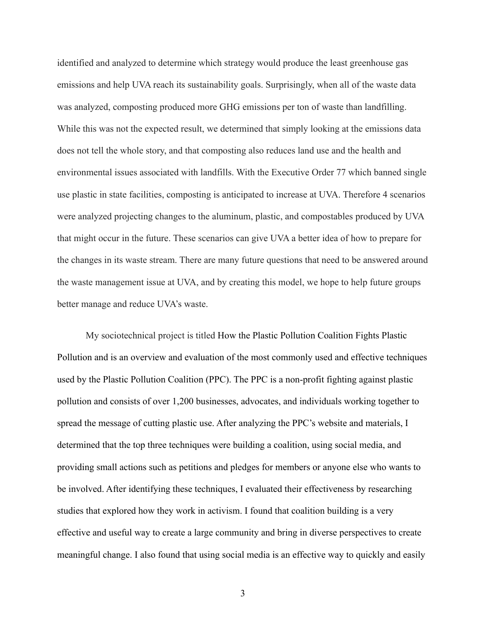identified and analyzed to determine which strategy would produce the least greenhouse gas emissions and help UVA reach its sustainability goals. Surprisingly, when all of the waste data was analyzed, composting produced more GHG emissions per ton of waste than landfilling. While this was not the expected result, we determined that simply looking at the emissions data does not tell the whole story, and that composting also reduces land use and the health and environmental issues associated with landfills. With the Executive Order 77 which banned single use plastic in state facilities, composting is anticipated to increase at UVA. Therefore 4 scenarios were analyzed projecting changes to the aluminum, plastic, and compostables produced by UVA that might occur in the future. These scenarios can give UVA a better idea of how to prepare for the changes in its waste stream. There are many future questions that need to be answered around the waste management issue at UVA, and by creating this model, we hope to help future groups better manage and reduce UVA's waste.

My sociotechnical project is titled How the Plastic Pollution Coalition Fights Plastic Pollution and is an overview and evaluation of the most commonly used and effective techniques used by the Plastic Pollution Coalition (PPC). The PPC is a non-profit fighting against plastic pollution and consists of over 1,200 businesses, advocates, and individuals working together to spread the message of cutting plastic use. After analyzing the PPC's website and materials, I determined that the top three techniques were building a coalition, using social media, and providing small actions such as petitions and pledges for members or anyone else who wants to be involved. After identifying these techniques, I evaluated their effectiveness by researching studies that explored how they work in activism. I found that coalition building is a very effective and useful way to create a large community and bring in diverse perspectives to create meaningful change. I also found that using social media is an effective way to quickly and easily

3